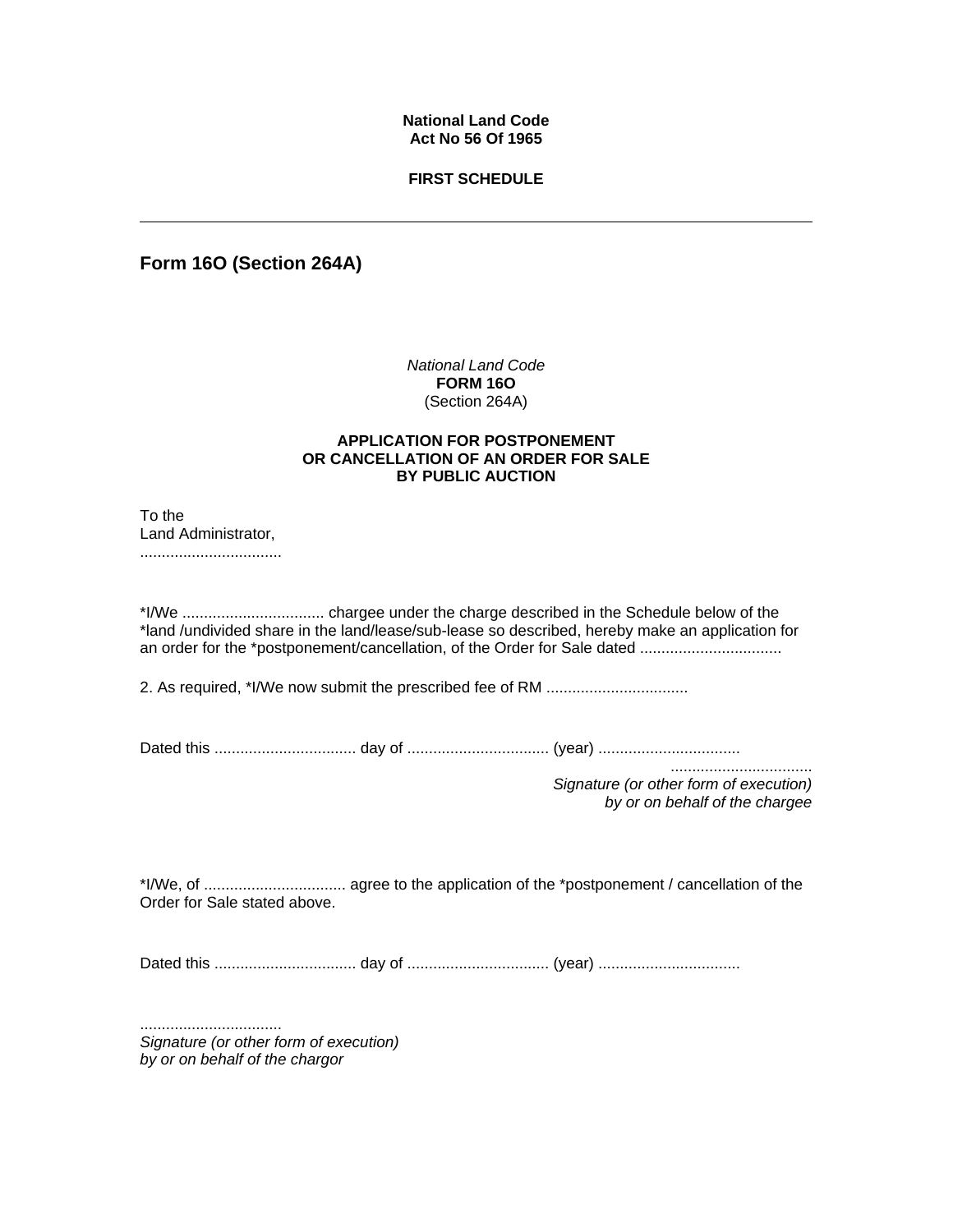## **National Land Code Act No 56 Of 1965**

### **FIRST SCHEDULE**

**Form 16O (Section 264A)** 

*National Land Code* **FORM 16O** (Section 264A)

#### **APPLICATION FOR POSTPONEMENT OR CANCELLATION OF AN ORDER FOR SALE BY PUBLIC AUCTION**

To the Land Administrator, .................................

\*I/We ................................. chargee under the charge described in the Schedule below of the \*land /undivided share in the land/lease/sub-lease so described, hereby make an application for an order for the \*postponement/cancellation, of the Order for Sale dated .................................

2. As required, \*I/We now submit the prescribed fee of RM .................................

Dated this ................................. day of ................................. (year) .................................

................................. *Signature (or other form of execution) by or on behalf of the chargee* 

\*I/We, of ................................. agree to the application of the \*postponement / cancellation of the Order for Sale stated above.

Dated this ................................. day of ................................. (year) .................................

................................. *Signature (or other form of execution) by or on behalf of the chargor*